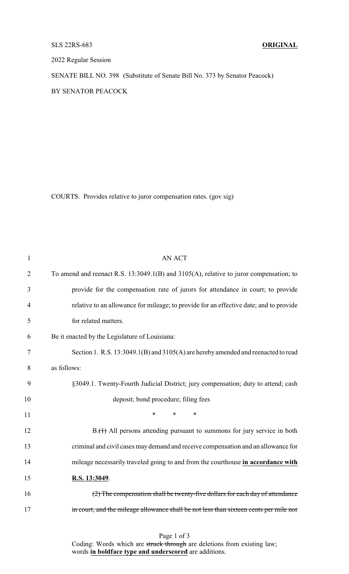## SLS 22RS-683 **ORIGINAL**

2022 Regular Session

SENATE BILL NO. 398 (Substitute of Senate Bill No. 373 by Senator Peacock) BY SENATOR PEACOCK

COURTS. Provides relative to juror compensation rates. (gov sig)

| $\mathbf{1}$   | <b>AN ACT</b>                                                                          |  |  |
|----------------|----------------------------------------------------------------------------------------|--|--|
| $\overline{2}$ | To amend and reenact R.S. 13:3049.1(B) and 3105(A), relative to juror compensation; to |  |  |
| 3              | provide for the compensation rate of jurors for attendance in court; to provide        |  |  |
| 4              | relative to an allowance for mileage; to provide for an effective date; and to provide |  |  |
| 5              | for related matters.                                                                   |  |  |
| 6              | Be it enacted by the Legislature of Louisiana:                                         |  |  |
| 7              | Section 1. R.S. 13:3049.1(B) and 3105(A) are hereby amended and reenacted to read      |  |  |
| 8              | as follows:                                                                            |  |  |
| 9              | §3049.1. Twenty-Fourth Judicial District; jury compensation; duty to attend; cash      |  |  |
| 10             | deposit; bond procedure; filing fees                                                   |  |  |
| 11             | *<br>$\ast$<br>$\ast$                                                                  |  |  |
| 12             | B.(1) All persons attending pursuant to summons for jury service in both               |  |  |
| 13             | criminal and civil cases may demand and receive compensation and an allowance for      |  |  |
| 14             | mileage necessarily traveled going to and from the courthouse in accordance with       |  |  |
| 15             | R.S. 13:3049.                                                                          |  |  |
| 16             | (2) The compensation shall be twenty-five dollars for each day of attendance           |  |  |
| 17             | in court, and the mileage allowance shall be not less than sixteen cents per mile nor  |  |  |
|                |                                                                                        |  |  |

## Page 1 of 3

Coding: Words which are struck through are deletions from existing law; words **in boldface type and underscored** are additions.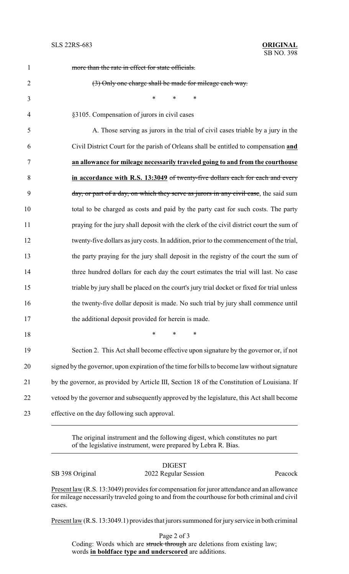| $\mathbf{1}$   | more than the rate in effect for state officials.                                             |
|----------------|-----------------------------------------------------------------------------------------------|
| $\overline{2}$ | (3) Only one charge shall be made for mileage each way.                                       |
| 3              | $\ast$<br>$\ast$<br>$\ast$                                                                    |
| $\overline{4}$ | §3105. Compensation of jurors in civil cases                                                  |
| 5              | A. Those serving as jurors in the trial of civil cases triable by a jury in the               |
| 6              | Civil District Court for the parish of Orleans shall be entitled to compensation and          |
| 7              | an allowance for mileage necessarily traveled going to and from the courthouse                |
| 8              | in accordance with R.S. 13:3049 of twenty-five dollars each for each and every                |
| 9              | day, or part of a day, on which they serve as jurors in any civil case, the said sum          |
| 10             | total to be charged as costs and paid by the party cast for such costs. The party             |
| 11             | praying for the jury shall deposit with the clerk of the civil district court the sum of      |
| 12             | twenty-five dollars as jury costs. In addition, prior to the commencement of the trial,       |
| 13             | the party praying for the jury shall deposit in the registry of the court the sum of          |
| 14             | three hundred dollars for each day the court estimates the trial will last. No case           |
| 15             | triable by jury shall be placed on the court's jury trial docket or fixed for trial unless    |
| 16             | the twenty-five dollar deposit is made. No such trial by jury shall commence until            |
| 17             | the additional deposit provided for herein is made.                                           |
| 18             | $\ast$<br>$\ast$<br>∗                                                                         |
| 19             | Section 2. This Act shall become effective upon signature by the governor or, if not          |
| 20             | signed by the governor, upon expiration of the time for bills to become law without signature |
| 21             | by the governor, as provided by Article III, Section 18 of the Constitution of Louisiana. If  |
| 22             | vetoed by the governor and subsequently approved by the legislature, this Act shall become    |
| 23             | effective on the day following such approval.                                                 |

The original instrument and the following digest, which constitutes no part of the legislative instrument, were prepared by Lebra R. Bias.

| <b>DIGEST</b>        |         |
|----------------------|---------|
| 2022 Regular Session | Peacock |
|                      |         |

Present law (R.S. 13:3049) provides for compensation for juror attendance and an allowance for mileage necessarily traveled going to and from the courthouse for both criminal and civil cases.

Present law (R.S. 13:3049.1) provides that jurors summoned for jury service in both criminal

Page 2 of 3 Coding: Words which are struck through are deletions from existing law; words **in boldface type and underscored** are additions.